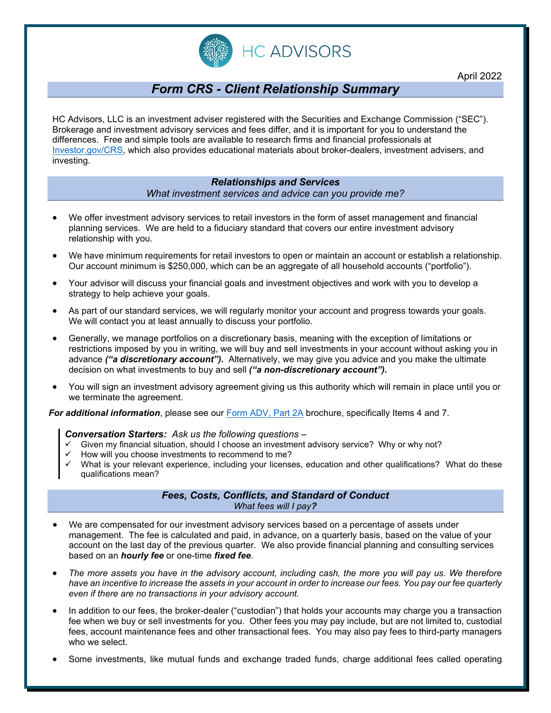

# *Form CRS - Client Relationship Summary*

HC Advisors, LLC is an investment adviser registered with the Securities and Exchange Commission ("SEC"). Brokerage and investment advisory services and fees differ, and it is important for you to understand the differences. Free and simple tools are available to research firms and financial professionals at [Investor.gov/CRS,](https://www.investor.gov/CRS) which also provides educational materials about broker-dealers, investment advisers, and investing.

## *Relationships and Services What investment services and advice can you provide me?*

- We offer investment advisory services to retail investors in the form of asset management and financial planning services. We are held to a fiduciary standard that covers our entire investment advisory relationship with you.
- We have minimum requirements for retail investors to open or maintain an account or establish a relationship. Our account minimum is \$250,000, which can be an aggregate of all household accounts ("portfolio").
- Your advisor will discuss your financial goals and investment objectives and work with you to develop a strategy to help achieve your goals.
- As part of our standard services, we will regularly monitor your account and progress towards your goals. We will contact you at least annually to discuss your portfolio.
- Generally, we manage portfolios on a discretionary basis, meaning with the exception of limitations or restrictions imposed by you in writing, we will buy and sell investments in your account without asking you in advance *("a discretionary account").* Alternatively, we may give you advice and you make the ultimate decision on what investments to buy and sell *("a non-discretionary account").*
- You will sign an investment advisory agreement giving us this authority which will remain in place until you or we terminate the agreement.

*For additional information*, please see our [Form ADV, Part 2A](https://www.hc-adv.com/wp-content/uploads/2020/04/HCA-Form-ADV-Part-2A-Firm-Brochure-20.pdf) brochure, specifically Items 4 and 7.

#### *Conversation Starters: Ask us the following questions –*

- Given my financial situation, should I choose an investment advisory service? Why or why not?
- How will you choose investments to recommend to me?
- What is your relevant experience, including your licenses, education and other qualifications? What do these qualifications mean?

## *Fees, Costs, Conflicts, and Standard of Conduct What fees will I pay?*

- We are compensated for our investment advisory services based on a percentage of assets under management. The fee is calculated and paid, in advance, on a quarterly basis, based on the value of your account on the last day of the previous quarter. We also provide financial planning and consulting services based on an *hourly fee* or one-time *fixed fee*.
- *The more assets you have in the advisory account, including cash, the more you will pay us. We therefore have an incentive to increase the assets in your account in order to increase our fees. You pay our fee quarterly even if there are no transactions in your advisory account.*
- In addition to our fees, the broker-dealer ("custodian") that holds your accounts may charge you a transaction fee when we buy or sell investments for you. Other fees you may pay include, but are not limited to, custodial fees, account maintenance fees and other transactional fees. You may also pay fees to third-party managers who we select.
- Some investments, like mutual funds and exchange traded funds, charge additional fees called operating